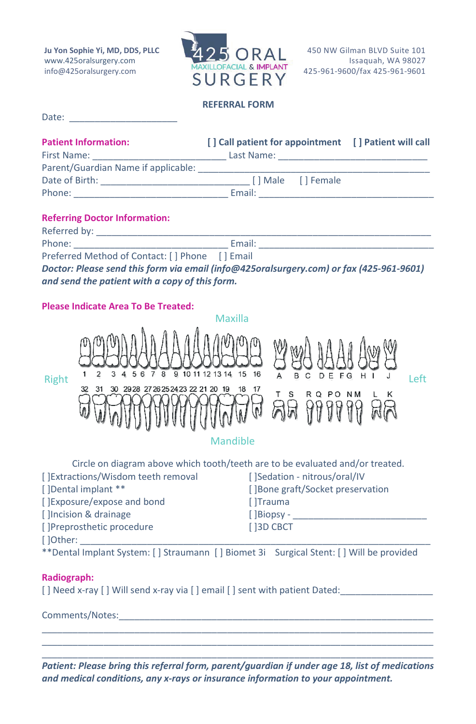**Ju Yon Sophie Yi, MD, DDS, PLLC** [www.425oralsurgery.com](http://www.425oralsurgery.com/) info@425oralsurgery.com



450 NW Gilman BLVD Suite 101 Issaquah, WA 98027 425-961-9600/fax 425-961-9601

**REFERRAL FORM**

| Date: |  |  |  |  |  |
|-------|--|--|--|--|--|
|       |  |  |  |  |  |

| <b>Patient Information:</b>         | [] Call patient for appointment [] Patient will call |                   |  |
|-------------------------------------|------------------------------------------------------|-------------------|--|
| First Name:                         | Last Name:                                           |                   |  |
| Parent/Guardian Name if applicable: |                                                      |                   |  |
| Date of Birth:                      |                                                      | [] Male [] Female |  |
| Phone:                              | Email:                                               |                   |  |

## **Referring Doctor Information:**

Phone: Email: 2002. Email: 2004. Email: 2004. Email: 2004. Email: 2004. 2004. 2006. Email: 2004. 2006. 2007. 2007. 2007. 2007. 2007. 2007. 2007. 2007. 2007. 2007. 2007. 2007. 2007. 2007. 2007. 2007. 2007. 2007. 2007. 2007.

Preferred Method of Contact: [ ] Phone [ ] Email

*Doctor: Please send this form via email [\(info@425oralsurgery.com\)](mailto:info@425oralsurgery.com) or fax (425-961-9601) and send the patient with a copy of this form.*

## **Please Indicate Area To Be Treated:**



| Circle on diagram above which tooth/teeth are to be evaluated and/or treated. |                                   |  |  |  |
|-------------------------------------------------------------------------------|-----------------------------------|--|--|--|
| [] Extractions/Wisdom teeth removal                                           | [ ]Sedation - nitrous/oral/IV     |  |  |  |
| []Dental implant **                                                           | [] Bone graft/Socket preservation |  |  |  |
| [ ]Exposure/expose and bond                                                   | [ ]Trauma                         |  |  |  |
| [ ]Incision & drainage                                                        | $\int$ Biopsy -                   |  |  |  |
| []Preprosthetic procedure                                                     | [ 13D CBCT                        |  |  |  |
| [ ]Other:                                                                     |                                   |  |  |  |

\*\*Dental Implant System: [ ] Straumann [ ] Biomet 3i Surgical Stent: [ ] Will be provided

## **Radiograph:**

[ ] Need x-ray [ ] Will send x-ray via [ ] email [ ] sent with patient Dated:

Comments/Notes:

\_\_\_\_\_\_\_\_\_\_\_\_\_\_\_\_\_\_\_\_\_\_\_\_\_\_\_\_\_\_\_\_\_\_\_\_\_\_\_\_\_\_\_\_\_\_\_\_\_\_\_\_\_\_\_\_\_\_\_\_\_\_\_\_\_\_\_\_\_\_\_\_\_\_\_\_ *Patient: Please bring this referral form, parent/guardian if under age 18, list of medications and medical conditions, any x-rays or insurance information to your appointment.*

\_\_\_\_\_\_\_\_\_\_\_\_\_\_\_\_\_\_\_\_\_\_\_\_\_\_\_\_\_\_\_\_\_\_\_\_\_\_\_\_\_\_\_\_\_\_\_\_\_\_\_\_\_\_\_\_\_\_\_\_\_\_\_\_\_\_\_\_\_\_\_\_\_\_\_\_ \_\_\_\_\_\_\_\_\_\_\_\_\_\_\_\_\_\_\_\_\_\_\_\_\_\_\_\_\_\_\_\_\_\_\_\_\_\_\_\_\_\_\_\_\_\_\_\_\_\_\_\_\_\_\_\_\_\_\_\_\_\_\_\_\_\_\_\_\_\_\_\_\_\_\_\_